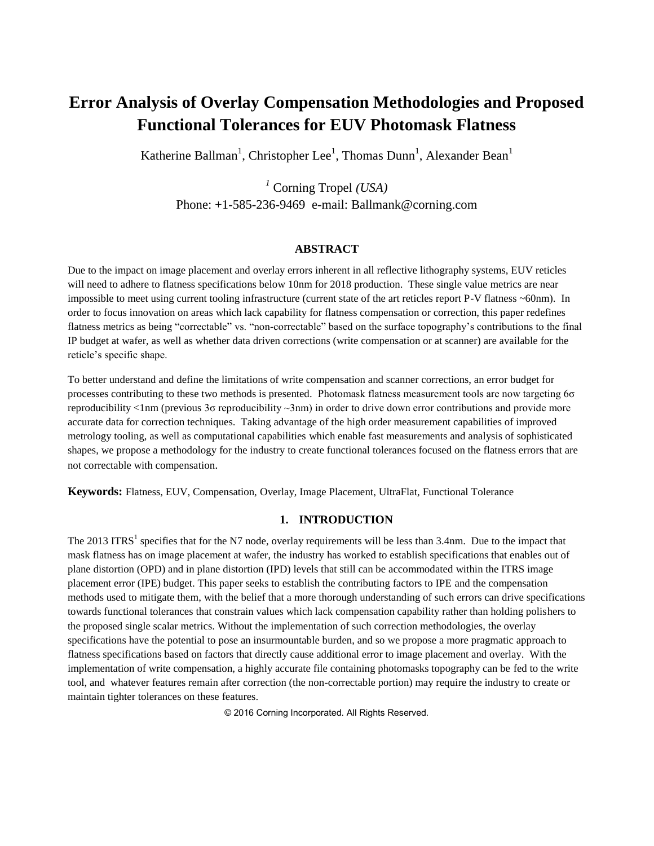# **Error Analysis of Overlay Compensation Methodologies and Proposed Functional Tolerances for EUV Photomask Flatness**

Katherine Ballman<sup>1</sup>, Christopher Lee<sup>1</sup>, Thomas Dunn<sup>1</sup>, Alexander Bean<sup>1</sup>

*<sup>1</sup>* Corning Tropel *(USA)* Phone: +1-585-236-9469 e-mail: Ballmank@corning.com

#### **ABSTRACT**

Due to the impact on image placement and overlay errors inherent in all reflective lithography systems, EUV reticles will need to adhere to flatness specifications below 10nm for 2018 production. These single value metrics are near impossible to meet using current tooling infrastructure (current state of the art reticles report P-V flatness  $\sim 60$ nm). In order to focus innovation on areas which lack capability for flatness compensation or correction, this paper redefines flatness metrics as being "correctable" vs. "non-correctable" based on the surface topography's contributions to the final IP budget at wafer, as well as whether data driven corrections (write compensation or at scanner) are available for the reticle's specific shape.

To better understand and define the limitations of write compensation and scanner corrections, an error budget for processes contributing to these two methods is presented. Photomask flatness measurement tools are now targeting 6σ reproducibility <1nm (previous 3σ reproducibility ~3nm) in order to drive down error contributions and provide more accurate data for correction techniques. Taking advantage of the high order measurement capabilities of improved metrology tooling, as well as computational capabilities which enable fast measurements and analysis of sophisticated shapes, we propose a methodology for the industry to create functional tolerances focused on the flatness errors that are not correctable with compensation.

**Keywords:** Flatness, EUV, Compensation, Overlay, Image Placement, UltraFlat, Functional Tolerance

## **1. INTRODUCTION**

The 2013 ITRS<sup>1</sup> specifies that for the N7 node, overlay requirements will be less than 3.4nm. Due to the impact that mask flatness has on image placement at wafer, the industry has worked to establish specifications that enables out of plane distortion (OPD) and in plane distortion (IPD) levels that still can be accommodated within the ITRS image placement error (IPE) budget. This paper seeks to establish the contributing factors to IPE and the compensation methods used to mitigate them, with the belief that a more thorough understanding of such errors can drive specifications towards functional tolerances that constrain values which lack compensation capability rather than holding polishers to the proposed single scalar metrics. Without the implementation of such correction methodologies, the overlay specifications have the potential to pose an insurmountable burden, and so we propose a more pragmatic approach to flatness specifications based on factors that directly cause additional error to image placement and overlay. With the implementation of write compensation, a highly accurate file containing photomasks topography can be fed to the write tool, and whatever features remain after correction (the non-correctable portion) may require the industry to create or maintain tighter tolerances on these features.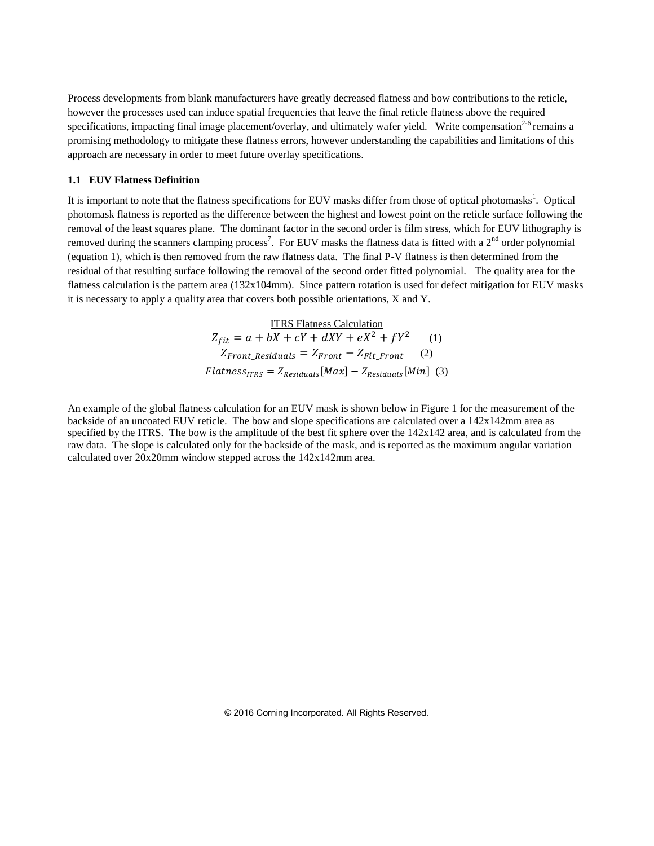Process developments from blank manufacturers have greatly decreased flatness and bow contributions to the reticle, however the processes used can induce spatial frequencies that leave the final reticle flatness above the required specifications, impacting final image placement/overlay, and ultimately wafer yield. Write compensation<sup>2-6</sup> remains a promising methodology to mitigate these flatness errors, however understanding the capabilities and limitations of this approach are necessary in order to meet future overlay specifications.

#### **1.1 EUV Flatness Definition**

It is important to note that the flatness specifications for EUV masks differ from those of optical photomasks<sup>1</sup>. Optical photomask flatness is reported as the difference between the highest and lowest point on the reticle surface following the removal of the least squares plane. The dominant factor in the second order is film stress, which for EUV lithography is removed during the scanners clamping process<sup>7</sup>. For EUV masks the flatness data is fitted with a  $2^{nd}$  order polynomial (equation 1), which is then removed from the raw flatness data. The final P-V flatness is then determined from the residual of that resulting surface following the removal of the second order fitted polynomial. The quality area for the flatness calculation is the pattern area (132x104mm). Since pattern rotation is used for defect mitigation for EUV masks it is necessary to apply a quality area that covers both possible orientations, X and Y.

$$
\frac{\text{ITRS Flatness Calculation}}{Z_{fit} = a + bX + cY + dXY + eX^2 + fY^2} \qquad (1)
$$
\n
$$
Z_{Front\_Residuals} = Z_{Front} - Z_{Fit\_Front} \qquad (2)
$$
\n
$$
Flatness_{ITRS} = Z_{Residuals} [Max] - Z_{Residuals} [Min] \qquad (3)
$$

An example of the global flatness calculation for an EUV mask is shown below in Figure 1 for the measurement of the backside of an uncoated EUV reticle. The bow and slope specifications are calculated over a 142x142mm area as specified by the ITRS. The bow is the amplitude of the best fit sphere over the  $142x142$  area, and is calculated from the raw data. The slope is calculated only for the backside of the mask, and is reported as the maximum angular variation calculated over 20x20mm window stepped across the 142x142mm area.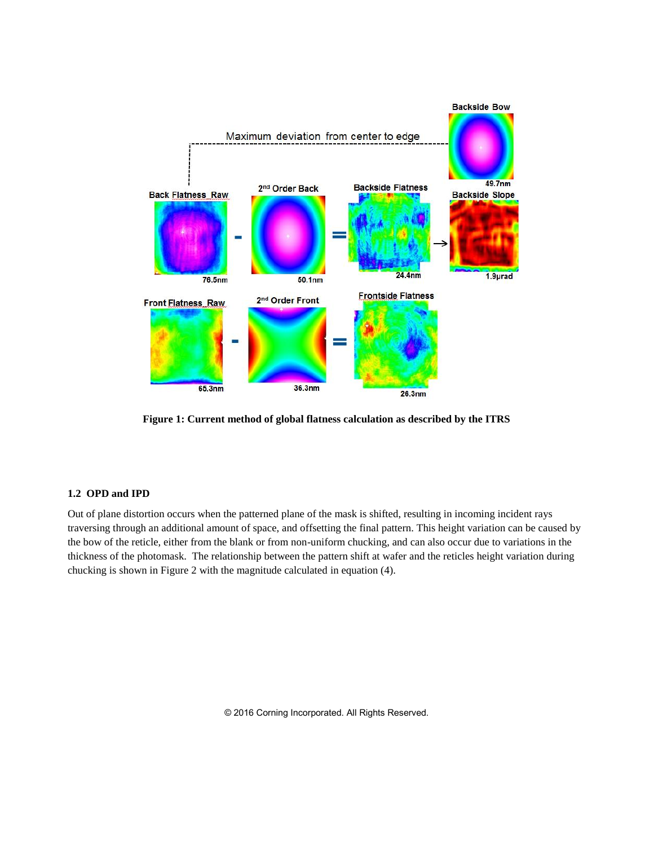

**Figure 1: Current method of global flatness calculation as described by the ITRS**

## **1.2 OPD and IPD**

Out of plane distortion occurs when the patterned plane of the mask is shifted, resulting in incoming incident rays traversing through an additional amount of space, and offsetting the final pattern. This height variation can be caused by the bow of the reticle, either from the blank or from non-uniform chucking, and can also occur due to variations in the thickness of the photomask. The relationship between the pattern shift at wafer and the reticles height variation during chucking is shown in Figure 2 with the magnitude calculated in equation (4).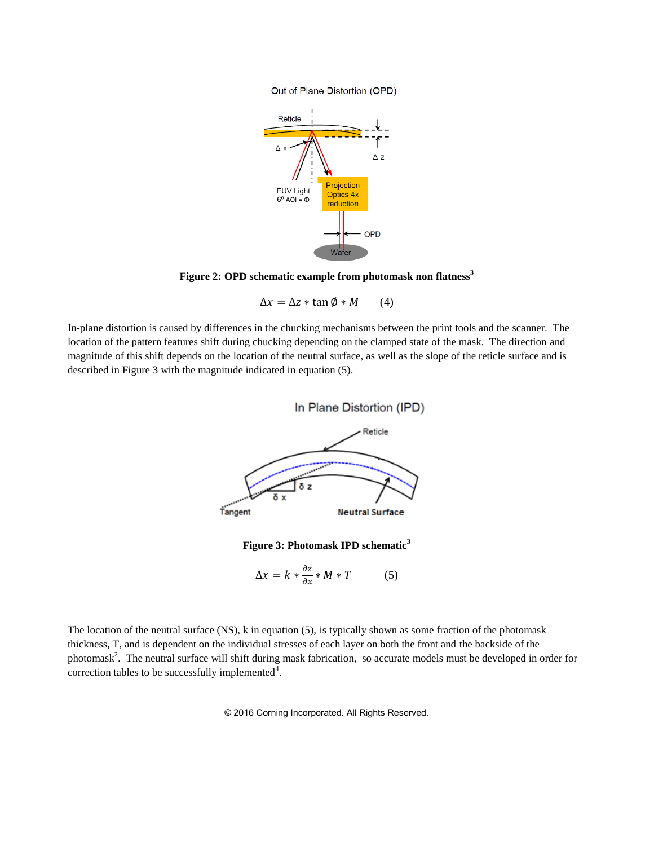Out of Plane Distortion (OPD)



**Figure 2: OPD schematic example from photomask non flatness<sup>3</sup>**

 $\Delta x = \Delta z * \tan \phi * M$  (4)

In-plane distortion is caused by differences in the chucking mechanisms between the print tools and the scanner. The location of the pattern features shift during chucking depending on the clamped state of the mask. The direction and magnitude of this shift depends on the location of the neutral surface, as well as the slope of the reticle surface and is described in Figure 3 with the magnitude indicated in equation (5).



$$
\Delta x = k * \frac{\partial z}{\partial x} * M * T \tag{5}
$$

The location of the neutral surface (NS), k in equation (5), is typically shown as some fraction of the photomask thickness, T, and is dependent on the individual stresses of each layer on both the front and the backside of the photomask<sup>2</sup>. The neutral surface will shift during mask fabrication, so accurate models must be developed in order for correction tables to be successfully implemented<sup>4</sup>.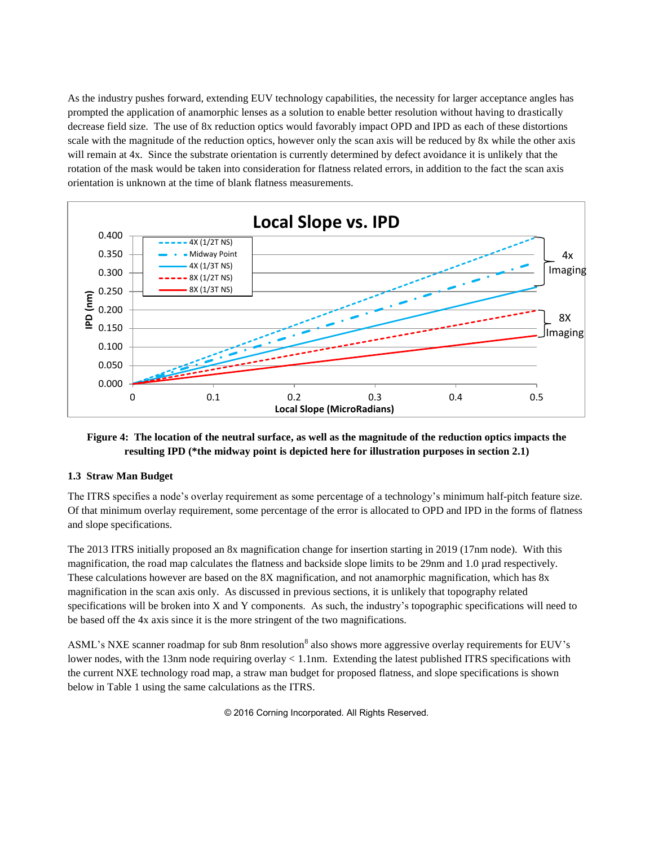As the industry pushes forward, extending EUV technology capabilities, the necessity for larger acceptance angles has prompted the application of anamorphic lenses as a solution to enable better resolution without having to drastically decrease field size. The use of 8x reduction optics would favorably impact OPD and IPD as each of these distortions scale with the magnitude of the reduction optics, however only the scan axis will be reduced by 8x while the other axis will remain at 4x. Since the substrate orientation is currently determined by defect avoidance it is unlikely that the rotation of the mask would be taken into consideration for flatness related errors, in addition to the fact the scan axis orientation is unknown at the time of blank flatness measurements.



## **Figure 4: The location of the neutral surface, as well as the magnitude of the reduction optics impacts the resulting IPD (\*the midway point is depicted here for illustration purposes in section 2.1)**

### **1.3 Straw Man Budget**

The ITRS specifies a node's overlay requirement as some percentage of a technology's minimum half-pitch feature size. Of that minimum overlay requirement, some percentage of the error is allocated to OPD and IPD in the forms of flatness and slope specifications.

The 2013 ITRS initially proposed an 8x magnification change for insertion starting in 2019 (17nm node). With this magnification, the road map calculates the flatness and backside slope limits to be 29nm and 1.0 µrad respectively. These calculations however are based on the 8X magnification, and not anamorphic magnification, which has 8x magnification in the scan axis only. As discussed in previous sections, it is unlikely that topography related specifications will be broken into X and Y components. As such, the industry's topographic specifications will need to be based off the 4x axis since it is the more stringent of the two magnifications.

ASML's NXE scanner roadmap for sub 8nm resolution<sup>8</sup> also shows more aggressive overlay requirements for EUV's lower nodes, with the 13nm node requiring overlay < 1.1nm. Extending the latest published ITRS specifications with the current NXE technology road map, a straw man budget for proposed flatness, and slope specifications is shown below in Table 1 using the same calculations as the ITRS.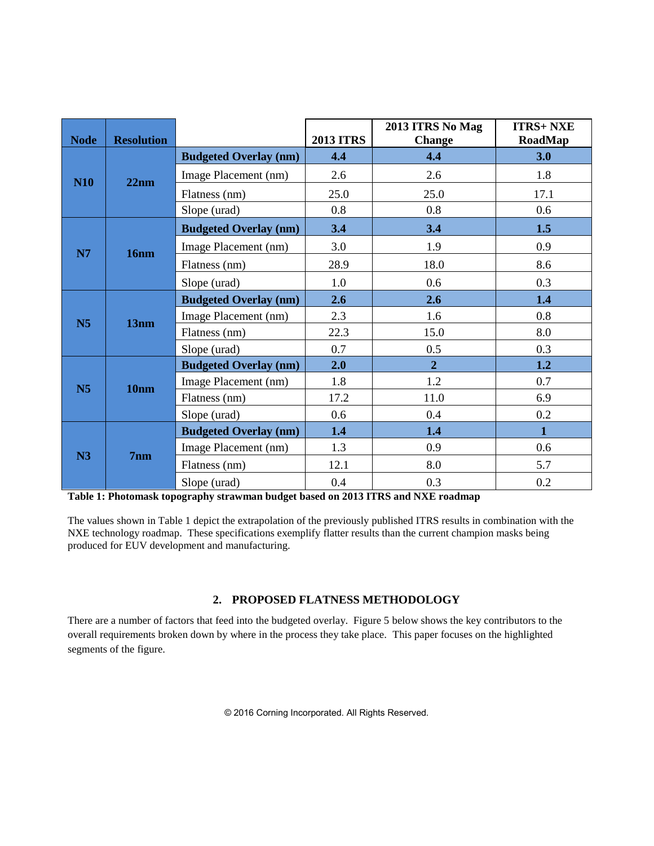| <b>Node</b>    | <b>Resolution</b> |                              | <b>2013 ITRS</b> | 2013 ITRS No Mag<br><b>Change</b> | <b>ITRS+ NXE</b><br>RoadMap |
|----------------|-------------------|------------------------------|------------------|-----------------------------------|-----------------------------|
| <b>N10</b>     | 22nm              | <b>Budgeted Overlay (nm)</b> | 4.4              | 4.4                               | 3.0                         |
|                |                   | Image Placement (nm)         | 2.6              | 2.6                               | 1.8                         |
|                |                   | Flatness (nm)                | 25.0             | 25.0                              | 17.1                        |
|                |                   | Slope (urad)                 | 0.8              | 0.8                               | 0.6                         |
| N7             | 16nm              | <b>Budgeted Overlay (nm)</b> | 3.4              | 3.4                               | 1.5                         |
|                |                   | Image Placement (nm)         | 3.0              | 1.9                               | 0.9                         |
|                |                   | Flatness (nm)                | 28.9             | 18.0                              | 8.6                         |
|                |                   | Slope (urad)                 | 1.0              | 0.6                               | 0.3                         |
| N <sub>5</sub> | 13nm              | <b>Budgeted Overlay (nm)</b> | 2.6              | 2.6                               | 1.4                         |
|                |                   | Image Placement (nm)         | 2.3              | 1.6                               | 0.8                         |
|                |                   | Flatness (nm)                | 22.3             | 15.0                              | 8.0                         |
|                |                   | Slope (urad)                 | 0.7              | 0.5                               | 0.3                         |
| N <sub>5</sub> | 10nm              | <b>Budgeted Overlay (nm)</b> | 2.0              | $\overline{2}$                    | 1.2                         |
|                |                   | Image Placement (nm)         | 1.8              | 1.2                               | 0.7                         |
|                |                   | Flatness (nm)                | 17.2             | 11.0                              | 6.9                         |
|                |                   | Slope (urad)                 | 0.6              | 0.4                               | 0.2                         |
| N3             | 7nm               | <b>Budgeted Overlay (nm)</b> | 1.4              | 1.4                               | 1                           |
|                |                   | Image Placement (nm)         | 1.3              | 0.9                               | 0.6                         |
|                |                   | Flatness (nm)                | 12.1             | 8.0                               | 5.7                         |
|                |                   | Slope (urad)                 | 0.4              | 0.3                               | 0.2                         |

**Table 1: Photomask topography strawman budget based on 2013 ITRS and NXE roadmap**

The values shown in Table 1 depict the extrapolation of the previously published ITRS results in combination with the NXE technology roadmap. These specifications exemplify flatter results than the current champion masks being produced for EUV development and manufacturing.

## **2. PROPOSED FLATNESS METHODOLOGY**

There are a number of factors that feed into the budgeted overlay. Figure 5 below shows the key contributors to the overall requirements broken down by where in the process they take place. This paper focuses on the highlighted segments of the figure.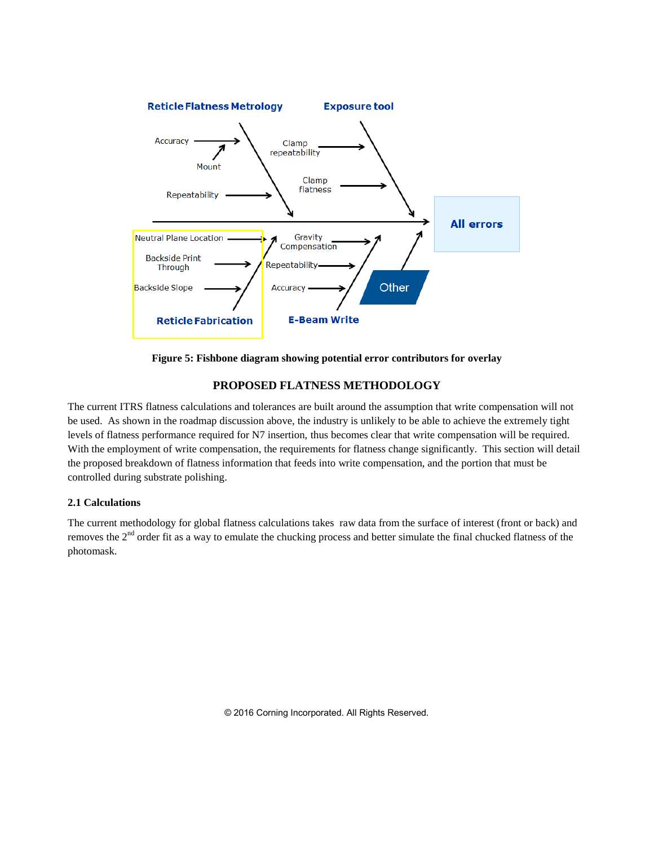

**Figure 5: Fishbone diagram showing potential error contributors for overlay**

## **PROPOSED FLATNESS METHODOLOGY**

The current ITRS flatness calculations and tolerances are built around the assumption that write compensation will not be used. As shown in the roadmap discussion above, the industry is unlikely to be able to achieve the extremely tight levels of flatness performance required for N7 insertion, thus becomes clear that write compensation will be required. With the employment of write compensation, the requirements for flatness change significantly. This section will detail the proposed breakdown of flatness information that feeds into write compensation, and the portion that must be controlled during substrate polishing.

## **2.1 Calculations**

The current methodology for global flatness calculations takes raw data from the surface of interest (front or back) and removes the  $2<sup>nd</sup>$  order fit as a way to emulate the chucking process and better simulate the final chucked flatness of the photomask.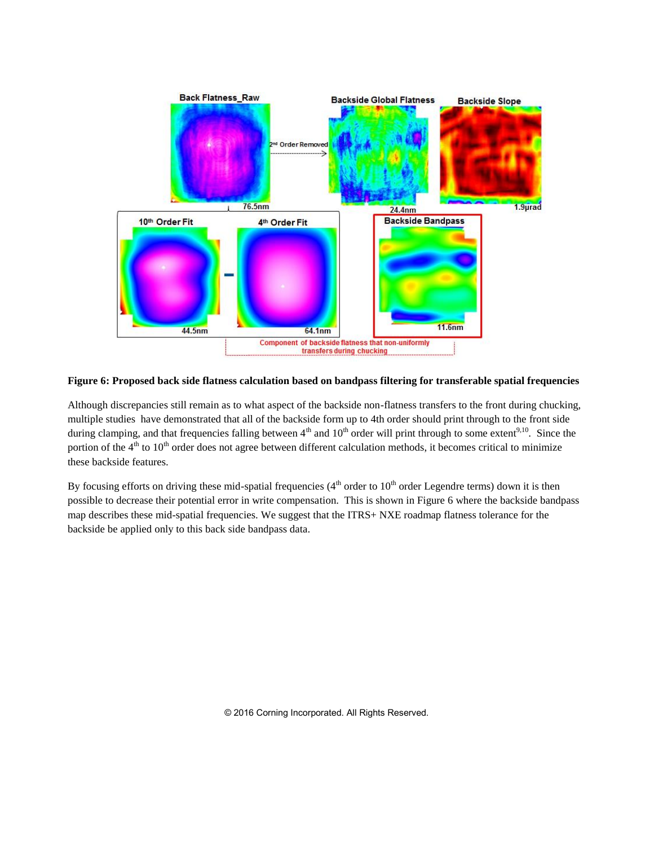

**Figure 6: Proposed back side flatness calculation based on bandpass filtering for transferable spatial frequencies**

Although discrepancies still remain as to what aspect of the backside non-flatness transfers to the front during chucking, multiple studies have demonstrated that all of the backside form up to 4th order should print through to the front side during clamping, and that frequencies falling between  $4<sup>th</sup>$  and  $10<sup>th</sup>$  order will print through to some extent<sup>9,10</sup>. Since the portion of the  $4<sup>th</sup>$  to  $10<sup>th</sup>$  order does not agree between different calculation methods, it becomes critical to minimize these backside features.

By focusing efforts on driving these mid-spatial frequencies  $(4<sup>th</sup>$  order to  $10<sup>th</sup>$  order Legendre terms) down it is then possible to decrease their potential error in write compensation. This is shown in Figure 6 where the backside bandpass map describes these mid-spatial frequencies. We suggest that the ITRS+ NXE roadmap flatness tolerance for the backside be applied only to this back side bandpass data.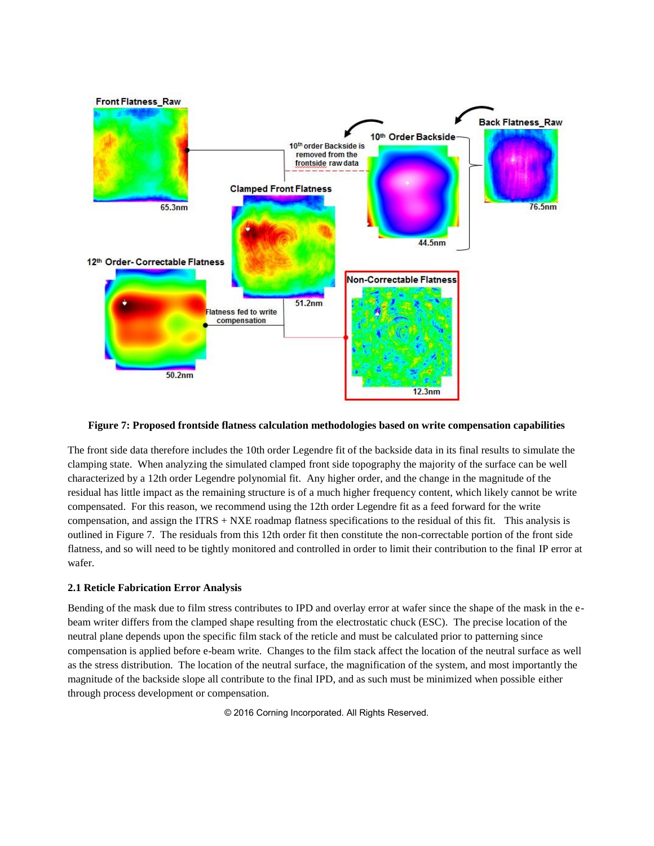

#### **Figure 7: Proposed frontside flatness calculation methodologies based on write compensation capabilities**

The front side data therefore includes the 10th order Legendre fit of the backside data in its final results to simulate the clamping state. When analyzing the simulated clamped front side topography the majority of the surface can be well characterized by a 12th order Legendre polynomial fit. Any higher order, and the change in the magnitude of the residual has little impact as the remaining structure is of a much higher frequency content, which likely cannot be write compensated. For this reason, we recommend using the 12th order Legendre fit as a feed forward for the write compensation, and assign the ITRS + NXE roadmap flatness specifications to the residual of this fit. This analysis is outlined in Figure 7. The residuals from this 12th order fit then constitute the non-correctable portion of the front side flatness, and so will need to be tightly monitored and controlled in order to limit their contribution to the final IP error at wafer.

### **2.1 Reticle Fabrication Error Analysis**

Bending of the mask due to film stress contributes to IPD and overlay error at wafer since the shape of the mask in the ebeam writer differs from the clamped shape resulting from the electrostatic chuck (ESC). The precise location of the neutral plane depends upon the specific film stack of the reticle and must be calculated prior to patterning since compensation is applied before e-beam write. Changes to the film stack affect the location of the neutral surface as well as the stress distribution. The location of the neutral surface, the magnification of the system, and most importantly the magnitude of the backside slope all contribute to the final IPD, and as such must be minimized when possible either through process development or compensation.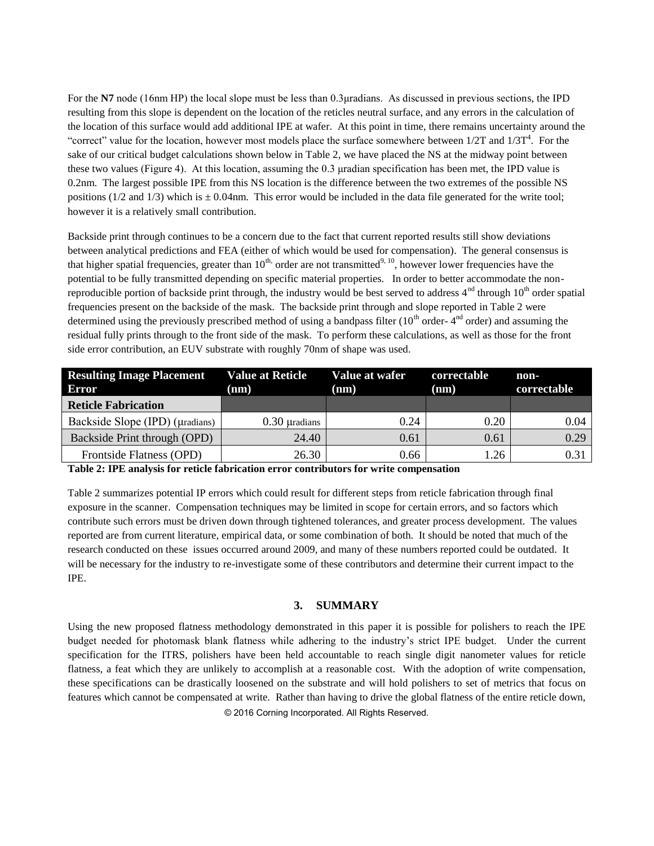For the **N7** node (16nm HP) the local slope must be less than 0.3μradians. As discussed in previous sections, the IPD resulting from this slope is dependent on the location of the reticles neutral surface, and any errors in the calculation of the location of this surface would add additional IPE at wafer. At this point in time, there remains uncertainty around the "correct" value for the location, however most models place the surface somewhere between  $1/2T$  and  $1/3T<sup>4</sup>$ . For the sake of our critical budget calculations shown below in Table 2, we have placed the NS at the midway point between these two values (Figure 4). At this location, assuming the 0.3 μradian specification has been met, the IPD value is 0.2nm. The largest possible IPE from this NS location is the difference between the two extremes of the possible NS positions ( $1/2$  and  $1/3$ ) which is  $\pm 0.04$  m. This error would be included in the data file generated for the write tool; however it is a relatively small contribution.

Backside print through continues to be a concern due to the fact that current reported results still show deviations between analytical predictions and FEA (either of which would be used for compensation). The general consensus is that higher spatial frequencies, greater than  $10^{th}$ , order are not transmitted<sup>9, 10</sup>, however lower frequencies have the potential to be fully transmitted depending on specific material properties. In order to better accommodate the nonreproducible portion of backside print through, the industry would be best served to address  $4<sup>nd</sup>$  through  $10<sup>th</sup>$  order spatial frequencies present on the backside of the mask. The backside print through and slope reported in Table 2 were determined using the previously prescribed method of using a bandpass filter  $(10<sup>th</sup>$  order-4<sup>nd</sup> order) and assuming the residual fully prints through to the front side of the mask. To perform these calculations, as well as those for the front side error contribution, an EUV substrate with roughly 70nm of shape was used.

| <b>Resulting Image Placement</b><br><b>Error</b> | <b>Value at Reticle</b><br>(nm) | Value at wafer<br>(nm) | correctable<br>(nm) | non-<br>correctable |
|--------------------------------------------------|---------------------------------|------------------------|---------------------|---------------------|
| <b>Reticle Fabrication</b>                       |                                 |                        |                     |                     |
| Backside Slope (IPD) (µradians)                  | $0.30$ $\mu$ radians            | 0.24                   | 0.20                | 0.04                |
| Backside Print through (OPD)                     | 24.40                           | 0.61                   | 0.61                | 0.29                |
| Frontside Flatness (OPD)                         | 26.30                           | 0.66                   | 1.26                | 0.31                |

**Table 2: IPE analysis for reticle fabrication error contributors for write compensation** 

Table 2 summarizes potential IP errors which could result for different steps from reticle fabrication through final exposure in the scanner. Compensation techniques may be limited in scope for certain errors, and so factors which contribute such errors must be driven down through tightened tolerances, and greater process development. The values reported are from current literature, empirical data, or some combination of both. It should be noted that much of the research conducted on these issues occurred around 2009, and many of these numbers reported could be outdated. It will be necessary for the industry to re-investigate some of these contributors and determine their current impact to the IPE.

### **3. SUMMARY**

© 2016 Corning Incorporated. All Rights Reserved. Using the new proposed flatness methodology demonstrated in this paper it is possible for polishers to reach the IPE budget needed for photomask blank flatness while adhering to the industry's strict IPE budget. Under the current specification for the ITRS, polishers have been held accountable to reach single digit nanometer values for reticle flatness, a feat which they are unlikely to accomplish at a reasonable cost. With the adoption of write compensation, these specifications can be drastically loosened on the substrate and will hold polishers to set of metrics that focus on features which cannot be compensated at write. Rather than having to drive the global flatness of the entire reticle down,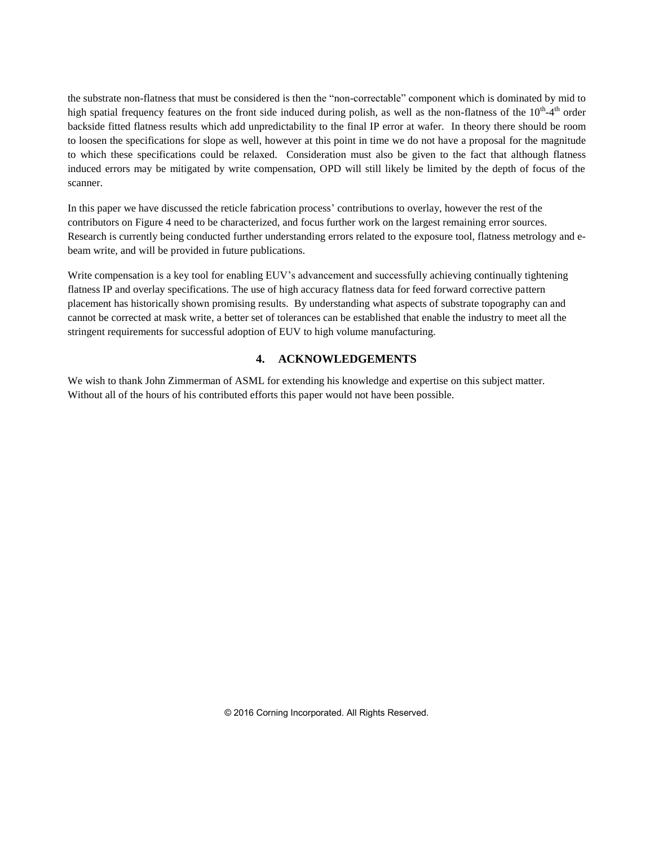the substrate non-flatness that must be considered is then the "non-correctable" component which is dominated by mid to high spatial frequency features on the front side induced during polish, as well as the non-flatness of the  $10^{th}$ -4<sup>th</sup> order backside fitted flatness results which add unpredictability to the final IP error at wafer. In theory there should be room to loosen the specifications for slope as well, however at this point in time we do not have a proposal for the magnitude to which these specifications could be relaxed. Consideration must also be given to the fact that although flatness induced errors may be mitigated by write compensation, OPD will still likely be limited by the depth of focus of the scanner.

In this paper we have discussed the reticle fabrication process' contributions to overlay, however the rest of the contributors on Figure 4 need to be characterized, and focus further work on the largest remaining error sources. Research is currently being conducted further understanding errors related to the exposure tool, flatness metrology and ebeam write, and will be provided in future publications.

Write compensation is a key tool for enabling EUV's advancement and successfully achieving continually tightening flatness IP and overlay specifications. The use of high accuracy flatness data for feed forward corrective pattern placement has historically shown promising results. By understanding what aspects of substrate topography can and cannot be corrected at mask write, a better set of tolerances can be established that enable the industry to meet all the stringent requirements for successful adoption of EUV to high volume manufacturing.

## **4. ACKNOWLEDGEMENTS**

We wish to thank John Zimmerman of ASML for extending his knowledge and expertise on this subject matter. Without all of the hours of his contributed efforts this paper would not have been possible.